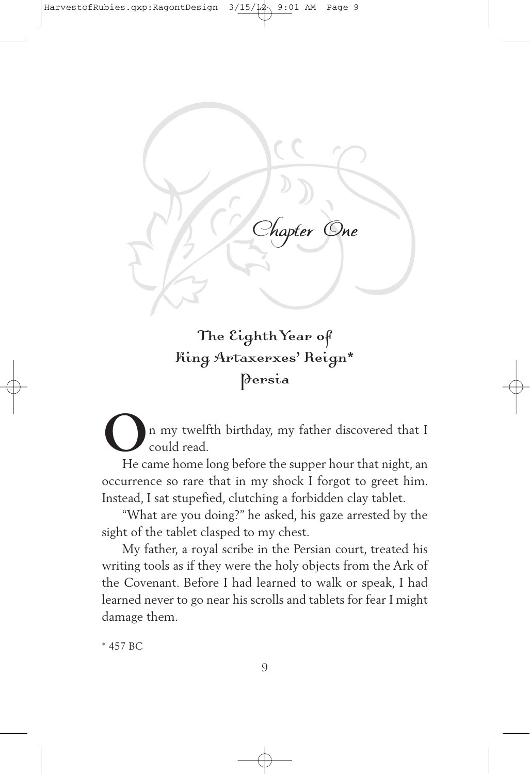Chapter One

The Eighth Year of King Artaxerxes' Reign\* Persia

n my twelfth birthday, my father discovered that I could read.

He came home long before the supper hour that night, an occurrence so rare that in my shock I forgot to greet him. Instead, I sat stupefied, clutching a forbidden clay tablet.

"What are you doing?" he asked, his gaze arrested by the sight of the tablet clasped to my chest.

My father, a royal scribe in the Persian court, treated his writing tools as if they were the holy objects from the Ark of the Covenant. Before I had learned to walk or speak, I had learned never to go near his scrolls and tablets for fear I might damage them.

\* 457 BC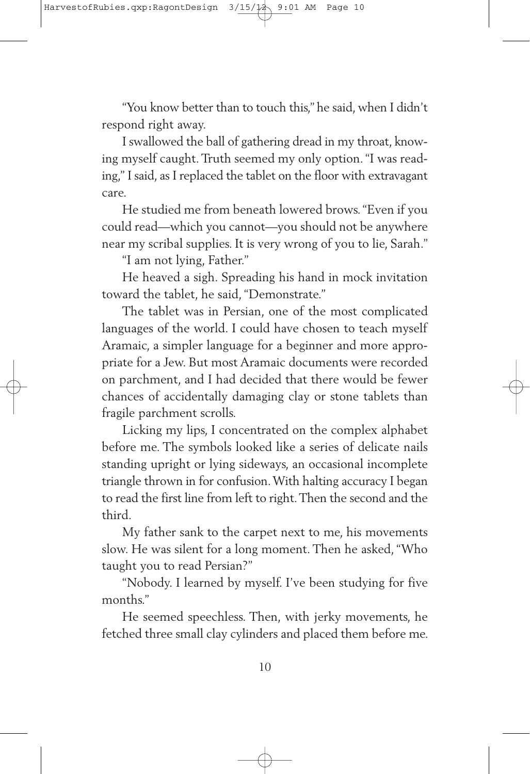"You know better than to touch this," he said, when I didn't respond right away.

I swallowed the ball of gathering dread in my throat, knowing myself caught.Truth seemed my only option."I was reading," I said, as I replaced the tablet on the floor with extravagant care.

He studied me from beneath lowered brows."Even if you could read—which you cannot—you should not be anywhere near my scribal supplies. It is very wrong of you to lie, Sarah."

"I am not lying, Father."

He heaved a sigh. Spreading his hand in mock invitation toward the tablet, he said,"Demonstrate."

The tablet was in Persian, one of the most complicated languages of the world. I could have chosen to teach myself Aramaic, a simpler language for a beginner and more appropriate for a Jew. But most Aramaic documents were recorded on parchment, and I had decided that there would be fewer chances of accidentally damaging clay or stone tablets than fragile parchment scrolls.

Licking my lips, I concentrated on the complex alphabet before me. The symbols looked like a series of delicate nails standing upright or lying sideways, an occasional incomplete triangle thrown in for confusion.With halting accuracy I began to read the first line from left to right.Then the second and the third.

My father sank to the carpet next to me, his movements slow. He was silent for a long moment. Then he asked,"Who taught you to read Persian?"

"Nobody. I learned by myself. I've been studying for five months."

He seemed speechless. Then, with jerky movements, he fetched three small clay cylinders and placed them before me.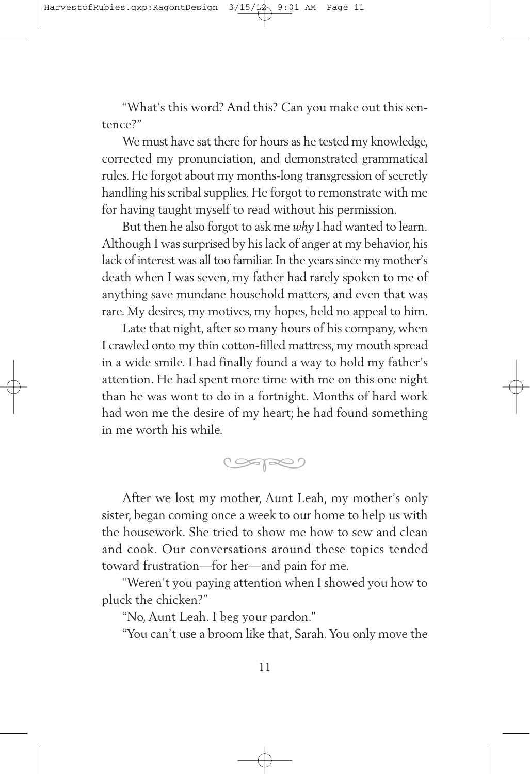"What's this word? And this? Can you make out this sentence?"

We must have sat there for hours as he tested my knowledge, corrected my pronunciation, and demonstrated grammatical rules. He forgot about my months-long transgression of secretly handling his scribal supplies. He forgot to remonstrate with me for having taught myself to read without his permission.

But then he also forgot to ask me *why* I had wanted to learn. Although I was surprised by his lack of anger at my behavior, his lack of interest was all too familiar. In the years since my mother's death when I was seven, my father had rarely spoken to me of anything save mundane household matters, and even that was rare. My desires, my motives, my hopes, held no appeal to him.

Late that night, after so many hours of his company, when I crawled onto my thin cotton-filled mattress, my mouth spread in a wide smile. I had finally found a way to hold my father's attention. He had spent more time with me on this one night than he was wont to do in a fortnight. Months of hard work had won me the desire of my heart; he had found something in me worth his while.

نهودها

After we lost my mother, Aunt Leah, my mother's only sister, began coming once a week to our home to help us with the housework. She tried to show me how to sew and clean and cook. Our conversations around these topics tended toward frustration—for her—and pain for me.

"Weren't you paying attention when I showed you how to pluck the chicken?"

"No, Aunt Leah. I beg your pardon."

"You can't use a broom like that, Sarah.You only move the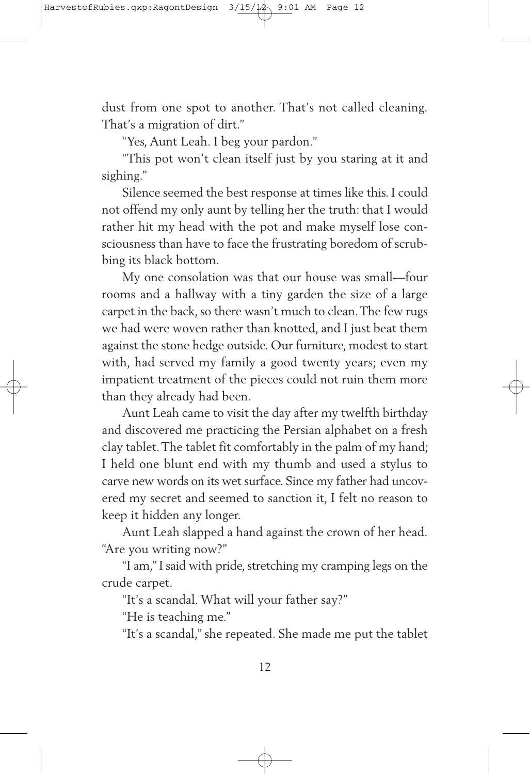dust from one spot to another. That's not called cleaning. That's a migration of dirt."

"Yes, Aunt Leah. I beg your pardon."

"This pot won't clean itself just by you staring at it and sighing."

Silence seemed the best response at times like this. I could not offend my only aunt by telling her the truth: that I would rather hit my head with the pot and make myself lose consciousness than have to face the frustrating boredom of scrubbing its black bottom.

My one consolation was that our house was small—four rooms and a hallway with a tiny garden the size of a large carpet in the back, so there wasn't much to clean. The few rugs we had were woven rather than knotted, and I just beat them against the stone hedge outside. Our furniture, modest to start with, had served my family a good twenty years; even my impatient treatment of the pieces could not ruin them more than they already had been.

Aunt Leah came to visit the day after my twelfth birthday and discovered me practicing the Persian alphabet on a fresh clay tablet.The tablet fit comfortably in the palm of my hand; I held one blunt end with my thumb and used a stylus to carve new words on its wet surface. Since my father had uncovered my secret and seemed to sanction it, I felt no reason to keep it hidden any longer.

Aunt Leah slapped a hand against the crown of her head. "Are you writing now?"

"I am," I said with pride, stretching my cramping legs on the crude carpet.

"It's a scandal.What will your father say?"

"He is teaching me."

"It's a scandal," she repeated. She made me put the tablet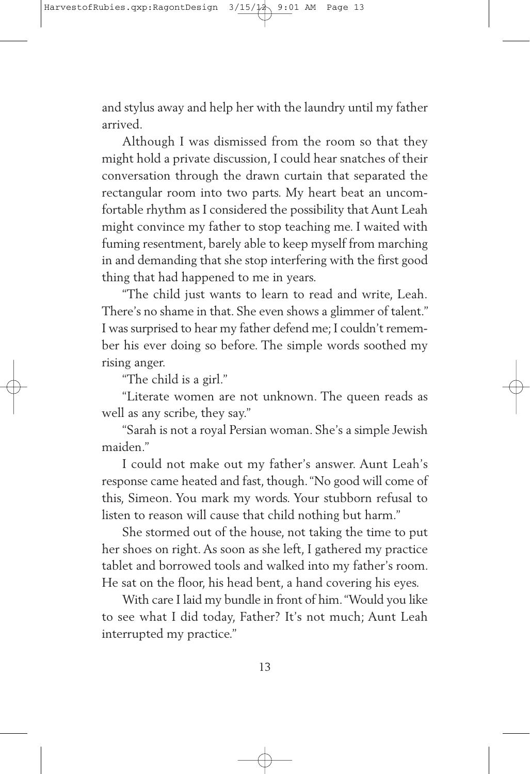and stylus away and help her with the laundry until my father arrived.

Although I was dismissed from the room so that they might hold a private discussion, I could hear snatches of their conversation through the drawn curtain that separated the rectangular room into two parts. My heart beat an uncomfortable rhythm as I considered the possibility that Aunt Leah might convince my father to stop teaching me. I waited with fuming resentment, barely able to keep myself from marching in and demanding that she stop interfering with the first good thing that had happened to me in years.

"The child just wants to learn to read and write, Leah. There's no shame in that. She even shows a glimmer of talent." I was surprised to hear my father defend me;I couldn't remember his ever doing so before. The simple words soothed my rising anger.

"The child is a girl."

"Literate women are not unknown. The queen reads as well as any scribe, they say."

"Sarah is not a royal Persian woman. She's a simple Jewish maiden."

I could not make out my father's answer. Aunt Leah's response came heated and fast, though."No good will come of this, Simeon. You mark my words. Your stubborn refusal to listen to reason will cause that child nothing but harm."

She stormed out of the house, not taking the time to put her shoes on right. As soon as she left, I gathered my practice tablet and borrowed tools and walked into my father's room. He sat on the floor, his head bent, a hand covering his eyes.

With care I laid my bundle in front of him."Would you like to see what I did today, Father? It's not much; Aunt Leah interrupted my practice."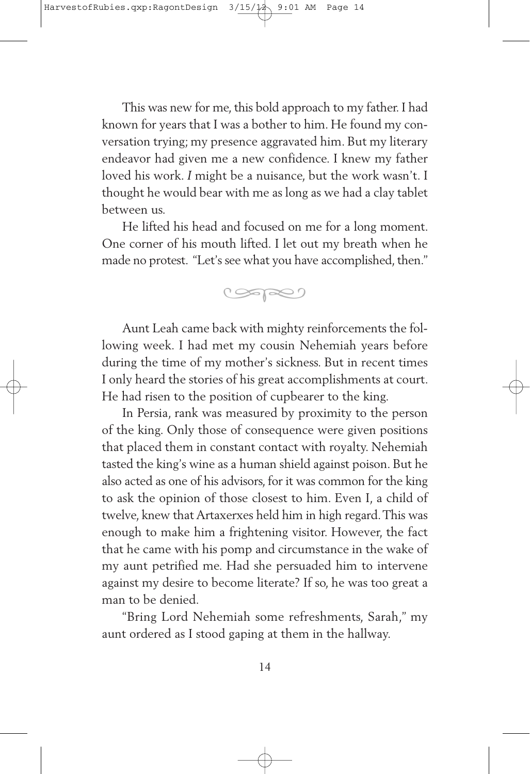This was new for me, this bold approach to my father. I had known for years that I was a bother to him. He found my conversation trying; my presence aggravated him. But my literary endeavor had given me a new confidence. I knew my father loved his work. *I* might be a nuisance, but the work wasn't. I thought he would bear with me as long as we had a clay tablet between us.

He lifted his head and focused on me for a long moment. One corner of his mouth lifted. I let out my breath when he made no protest. "Let's see what you have accomplished, then."



Aunt Leah came back with mighty reinforcements the following week. I had met my cousin Nehemiah years before during the time of my mother's sickness. But in recent times I only heard the stories of his great accomplishments at court. He had risen to the position of cupbearer to the king.

In Persia, rank was measured by proximity to the person of the king. Only those of consequence were given positions that placed them in constant contact with royalty. Nehemiah tasted the king's wine as a human shield against poison. But he also acted as one of his advisors, for it was common for the king to ask the opinion of those closest to him. Even I, a child of twelve, knew that Artaxerxes held him in high regard.This was enough to make him a frightening visitor. However, the fact that he came with his pomp and circumstance in the wake of my aunt petrified me. Had she persuaded him to intervene against my desire to become literate? If so, he was too great a man to be denied.

"Bring Lord Nehemiah some refreshments, Sarah," my aunt ordered as I stood gaping at them in the hallway.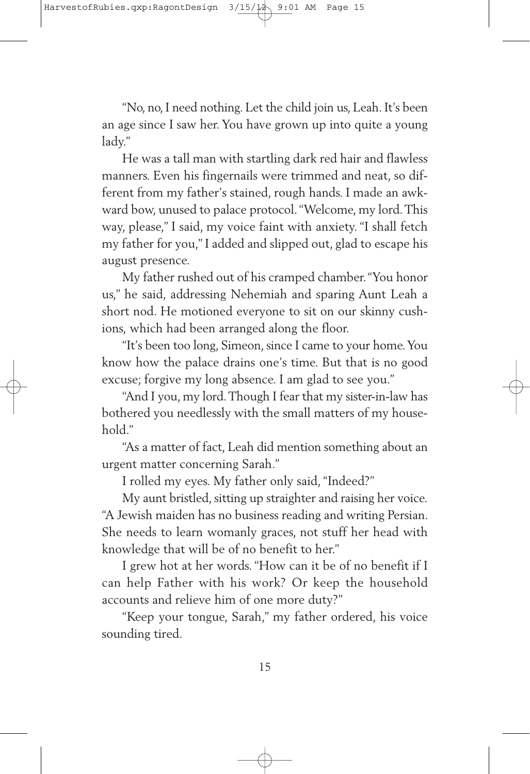"No, no, I need nothing. Let the child join us, Leah.It's been an age since I saw her.You have grown up into quite a young lady."

He was a tall man with startling dark red hair and flawless manners. Even his fingernails were trimmed and neat, so different from my father's stained, rough hands. I made an awkward bow, unused to palace protocol."Welcome, my lord.This way, please," I said, my voice faint with anxiety. "I shall fetch my father for you,"I added and slipped out, glad to escape his august presence.

My father rushed out of his cramped chamber."You honor us," he said, addressing Nehemiah and sparing Aunt Leah a short nod. He motioned everyone to sit on our skinny cushions, which had been arranged along the floor.

"It's been too long, Simeon, since I came to your home. You know how the palace drains one's time. But that is no good excuse; forgive my long absence. I am glad to see you."

"And I you, my lord.Though I fear that my sister-in-law has bothered you needlessly with the small matters of my household"

"As a matter of fact, Leah did mention something about an urgent matter concerning Sarah."

I rolled my eyes. My father only said,"Indeed?"

My aunt bristled, sitting up straighter and raising her voice. "A Jewish maiden has no business reading and writing Persian. She needs to learn womanly graces, not stuff her head with knowledge that will be of no benefit to her."

I grew hot at her words. "How can it be of no benefit if I can help Father with his work? Or keep the household accounts and relieve him of one more duty?"

"Keep your tongue, Sarah," my father ordered, his voice sounding tired.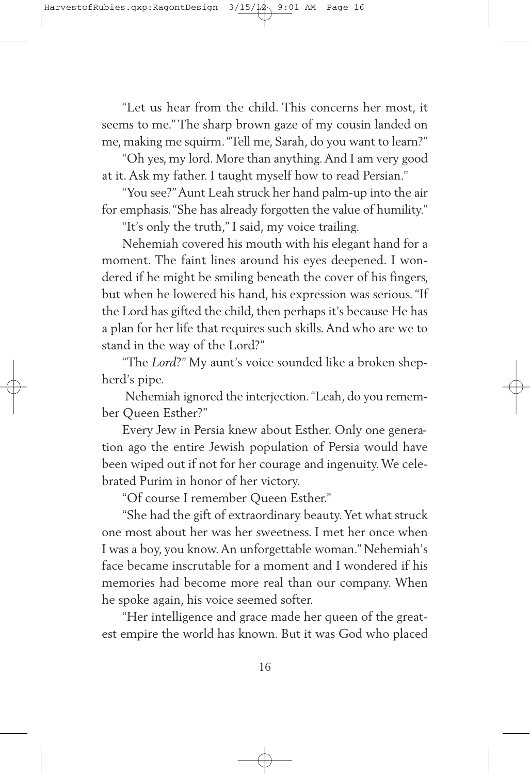"Let us hear from the child. This concerns her most, it seems to me." The sharp brown gaze of my cousin landed on me, making me squirm."Tell me, Sarah, do you want to learn?"

"Oh yes, my lord. More than anything.And I am very good at it. Ask my father. I taught myself how to read Persian."

"You see?"Aunt Leah struck her hand palm-up into the air for emphasis."She has already forgotten the value of humility."

"It's only the truth," I said, my voice trailing.

Nehemiah covered his mouth with his elegant hand for a moment. The faint lines around his eyes deepened. I wondered if he might be smiling beneath the cover of his fingers, but when he lowered his hand, his expression was serious."If the Lord has gifted the child, then perhaps it's because He has a plan for her life that requires such skills.And who are we to stand in the way of the Lord?"

"The *Lord*?" My aunt's voice sounded like a broken shepherd's pipe.

Nehemiah ignored the interjection."Leah, do you remember Queen Esther?"

Every Jew in Persia knew about Esther. Only one generation ago the entire Jewish population of Persia would have been wiped out if not for her courage and ingenuity.We celebrated Purim in honor of her victory.

"Of course I remember Queen Esther."

"She had the gift of extraordinary beauty.Yet what struck one most about her was her sweetness. I met her once when I was a boy, you know.An unforgettable woman." Nehemiah's face became inscrutable for a moment and I wondered if his memories had become more real than our company. When he spoke again, his voice seemed softer.

"Her intelligence and grace made her queen of the greatest empire the world has known. But it was God who placed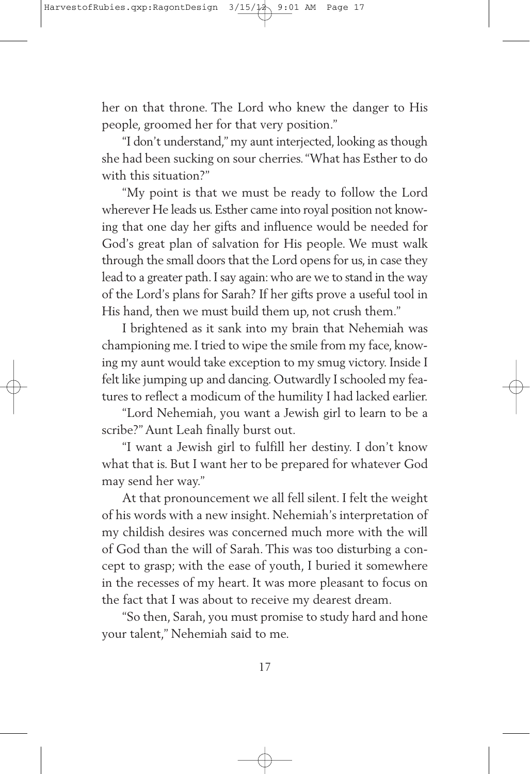her on that throne. The Lord who knew the danger to His people, groomed her for that very position."

"I don't understand," my aunt interjected, looking as though she had been sucking on sour cherries."What has Esther to do with this situation?"

"My point is that we must be ready to follow the Lord wherever He leads us. Esther came into royal position not knowing that one day her gifts and influence would be needed for God's great plan of salvation for His people. We must walk through the small doors that the Lord opens for us, in case they lead to a greater path. I say again: who are we to stand in the way of the Lord's plans for Sarah? If her gifts prove a useful tool in His hand, then we must build them up, not crush them."

I brightened as it sank into my brain that Nehemiah was championing me.I tried to wipe the smile from my face, knowing my aunt would take exception to my smug victory. Inside I felt like jumping up and dancing. Outwardly I schooled my features to reflect a modicum of the humility I had lacked earlier.

"Lord Nehemiah, you want a Jewish girl to learn to be a scribe?" Aunt Leah finally burst out.

"I want a Jewish girl to fulfill her destiny. I don't know what that is. But I want her to be prepared for whatever God may send her way."

At that pronouncement we all fell silent. I felt the weight of his words with a new insight. Nehemiah's interpretation of my childish desires was concerned much more with the will of God than the will of Sarah. This was too disturbing a concept to grasp; with the ease of youth, I buried it somewhere in the recesses of my heart. It was more pleasant to focus on the fact that I was about to receive my dearest dream.

"So then, Sarah, you must promise to study hard and hone your talent," Nehemiah said to me.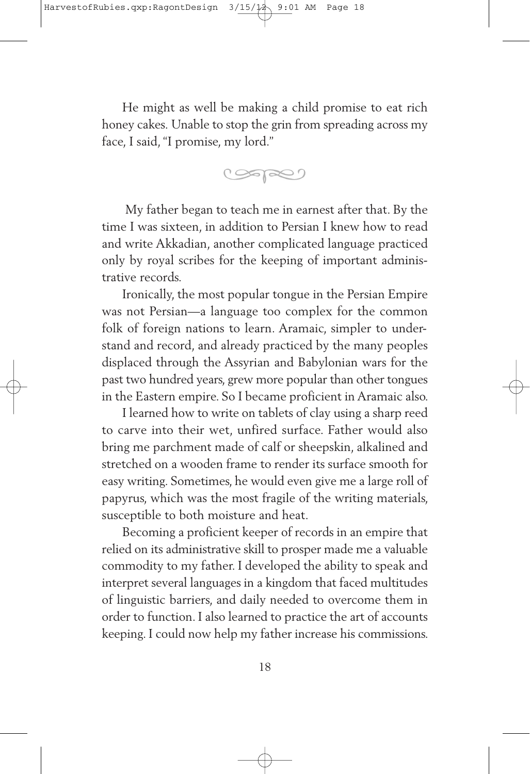He might as well be making a child promise to eat rich honey cakes*.* Unable to stop the grin from spreading across my face, I said,"I promise, my lord."

 $C \rightarrow C$ 

My father began to teach me in earnest after that. By the time I was sixteen, in addition to Persian I knew how to read and write Akkadian, another complicated language practiced only by royal scribes for the keeping of important administrative records.

Ironically, the most popular tongue in the Persian Empire was not Persian—a language too complex for the common folk of foreign nations to learn. Aramaic, simpler to understand and record, and already practiced by the many peoples displaced through the Assyrian and Babylonian wars for the past two hundred years, grew more popular than other tongues in the Eastern empire. So I became proficient in Aramaic also.

I learned how to write on tablets of clay using a sharp reed to carve into their wet, unfired surface. Father would also bring me parchment made of calf or sheepskin, alkalined and stretched on a wooden frame to render its surface smooth for easy writing. Sometimes, he would even give me a large roll of papyrus, which was the most fragile of the writing materials, susceptible to both moisture and heat.

Becoming a proficient keeper of records in an empire that relied on its administrative skill to prosper made me a valuable commodity to my father. I developed the ability to speak and interpret several languages in a kingdom that faced multitudes of linguistic barriers, and daily needed to overcome them in order to function. I also learned to practice the art of accounts keeping. I could now help my father increase his commissions.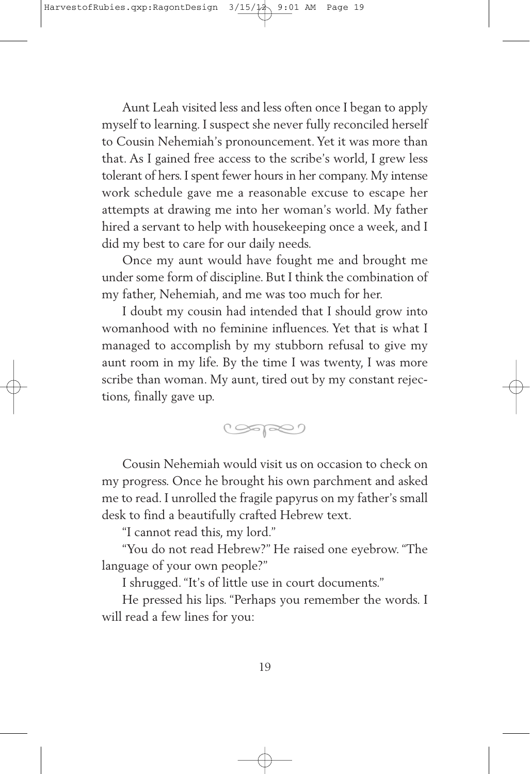Aunt Leah visited less and less often once I began to apply myself to learning. I suspect she never fully reconciled herself to Cousin Nehemiah's pronouncement.Yet it was more than that. As I gained free access to the scribe's world, I grew less tolerant of hers.I spent fewer hours in her company. My intense work schedule gave me a reasonable excuse to escape her attempts at drawing me into her woman's world. My father hired a servant to help with housekeeping once a week, and I did my best to care for our daily needs.

Once my aunt would have fought me and brought me under some form of discipline. But I think the combination of my father, Nehemiah, and me was too much for her.

I doubt my cousin had intended that I should grow into womanhood with no feminine influences. Yet that is what I managed to accomplish by my stubborn refusal to give my aunt room in my life. By the time I was twenty, I was more scribe than woman. My aunt, tired out by my constant rejections, finally gave up.



Cousin Nehemiah would visit us on occasion to check on my progress. Once he brought his own parchment and asked me to read. I unrolled the fragile papyrus on my father's small desk to find a beautifully crafted Hebrew text.

"I cannot read this, my lord."

"You do not read Hebrew?" He raised one eyebrow."The language of your own people?"

I shrugged."It's of little use in court documents."

He pressed his lips. "Perhaps you remember the words. I will read a few lines for you: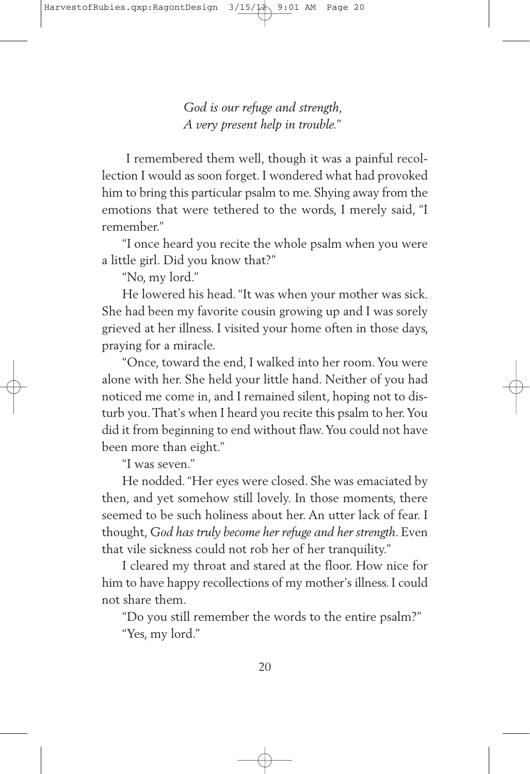*God is our refuge and strength, A very present help in trouble.*"

I remembered them well, though it was a painful recollection I would as soon forget. I wondered what had provoked him to bring this particular psalm to me. Shying away from the emotions that were tethered to the words, I merely said, "I remember."

"I once heard you recite the whole psalm when you were a little girl. Did you know that?"

"No, my lord."

He lowered his head."It was when your mother was sick. She had been my favorite cousin growing up and I was sorely grieved at her illness. I visited your home often in those days, praying for a miracle.

"Once, toward the end, I walked into her room.You were alone with her. She held your little hand. Neither of you had noticed me come in, and I remained silent, hoping not to disturb you.That's when I heard you recite this psalm to her.You did it from beginning to end without flaw.You could not have been more than eight."

"I was seven."

He nodded."Her eyes were closed. She was emaciated by then, and yet somehow still lovely. In those moments, there seemed to be such holiness about her. An utter lack of fear. I thought, *God has truly become her refuge and her strength*. Even that vile sickness could not rob her of her tranquility."

I cleared my throat and stared at the floor. How nice for him to have happy recollections of my mother's illness. I could not share them.

"Do you still remember the words to the entire psalm?" "Yes, my lord."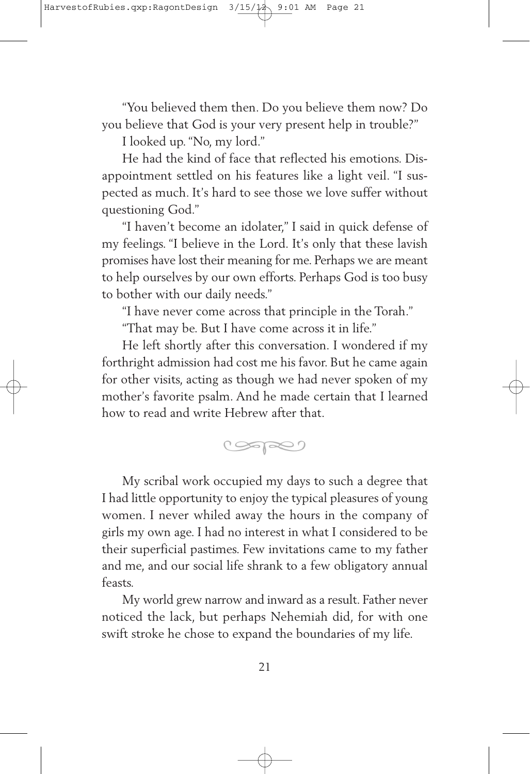"You believed them then. Do you believe them now? Do you believe that God is your very present help in trouble?"

I looked up."No, my lord."

He had the kind of face that reflected his emotions. Disappointment settled on his features like a light veil. "I suspected as much. It's hard to see those we love suffer without questioning God."

"I haven't become an idolater," I said in quick defense of my feelings. "I believe in the Lord. It's only that these lavish promises have lost their meaning for me. Perhaps we are meant to help ourselves by our own efforts. Perhaps God is too busy to bother with our daily needs."

"I have never come across that principle in the Torah."

"That may be. But I have come across it in life."

He left shortly after this conversation. I wondered if my forthright admission had cost me his favor. But he came again for other visits, acting as though we had never spoken of my mother's favorite psalm. And he made certain that I learned how to read and write Hebrew after that.

 $C \rightarrow C$ 

My scribal work occupied my days to such a degree that I had little opportunity to enjoy the typical pleasures of young women. I never whiled away the hours in the company of girls my own age. I had no interest in what I considered to be their superficial pastimes. Few invitations came to my father and me, and our social life shrank to a few obligatory annual feasts.

My world grew narrow and inward as a result. Father never noticed the lack, but perhaps Nehemiah did, for with one swift stroke he chose to expand the boundaries of my life.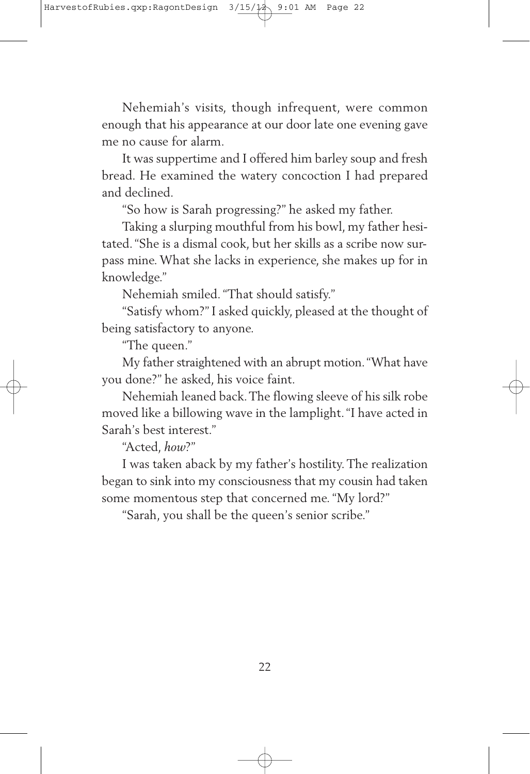Nehemiah's visits, though infrequent, were common enough that his appearance at our door late one evening gave me no cause for alarm.

It was suppertime and I offered him barley soup and fresh bread. He examined the watery concoction I had prepared and declined.

"So how is Sarah progressing?" he asked my father.

Taking a slurping mouthful from his bowl, my father hesitated."She is a dismal cook, but her skills as a scribe now surpass mine. What she lacks in experience, she makes up for in knowledge."

Nehemiah smiled."That should satisfy."

"Satisfy whom?"I asked quickly, pleased at the thought of being satisfactory to anyone.

"The queen."

My father straightened with an abrupt motion."What have you done?" he asked, his voice faint.

Nehemiah leaned back.The flowing sleeve of his silk robe moved like a billowing wave in the lamplight."I have acted in Sarah's best interest."

"Acted, *how*?"

I was taken aback by my father's hostility.The realization began to sink into my consciousness that my cousin had taken some momentous step that concerned me."My lord?"

"Sarah, you shall be the queen's senior scribe."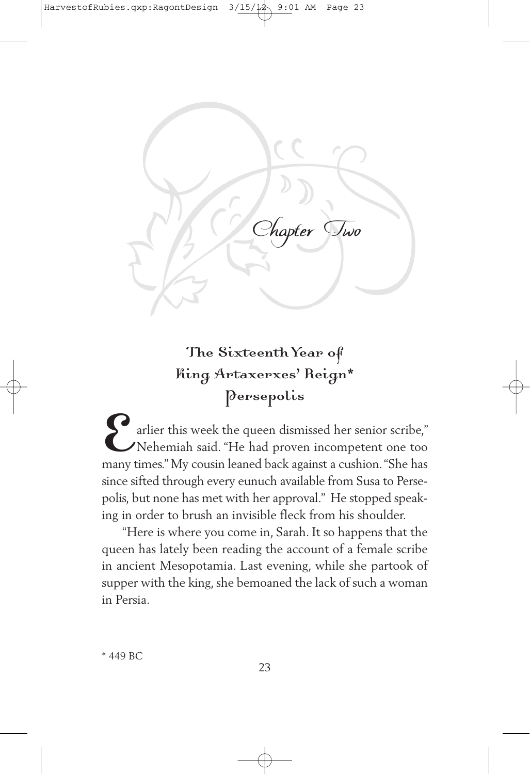

## The Sixteenth Year of King Artaxerxes' Reign\* Persepolis

arlier this week the queen dismissed her senior scribe," Nehemiah said. "He had proven incompetent one too many times." My cousin leaned back against a cushion."She has since sifted through every eunuch available from Susa to Persepolis, but none has met with her approval." He stopped speaking in order to brush an invisible fleck from his shoulder.

"Here is where you come in, Sarah. It so happens that the queen has lately been reading the account of a female scribe in ancient Mesopotamia. Last evening, while she partook of supper with the king, she bemoaned the lack of such a woman in Persia.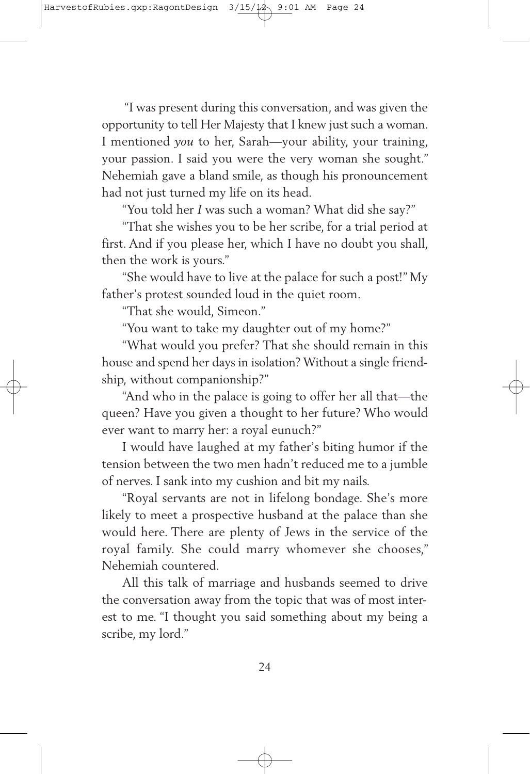"I was present during this conversation, and was given the opportunity to tell Her Majesty that I knew just such a woman. I mentioned *you* to her, Sarah—your ability, your training, your passion. I said you were the very woman she sought." Nehemiah gave a bland smile, as though his pronouncement had not just turned my life on its head.

"You told her *I* was such a woman? What did she say?"

"That she wishes you to be her scribe, for a trial period at first. And if you please her, which I have no doubt you shall, then the work is yours."

"She would have to live at the palace for such a post!" My father's protest sounded loud in the quiet room.

"That she would, Simeon."

"You want to take my daughter out of my home?"

"What would you prefer? That she should remain in this house and spend her days in isolation?Without a single friendship, without companionship?"

"And who in the palace is going to offer her all that—the queen? Have you given a thought to her future? Who would ever want to marry her: a royal eunuch?"

I would have laughed at my father's biting humor if the tension between the two men hadn't reduced me to a jumble of nerves. I sank into my cushion and bit my nails.

"Royal servants are not in lifelong bondage. She's more likely to meet a prospective husband at the palace than she would here. There are plenty of Jews in the service of the royal family. She could marry whomever she chooses," Nehemiah countered.

All this talk of marriage and husbands seemed to drive the conversation away from the topic that was of most interest to me. "I thought you said something about my being a scribe, my lord."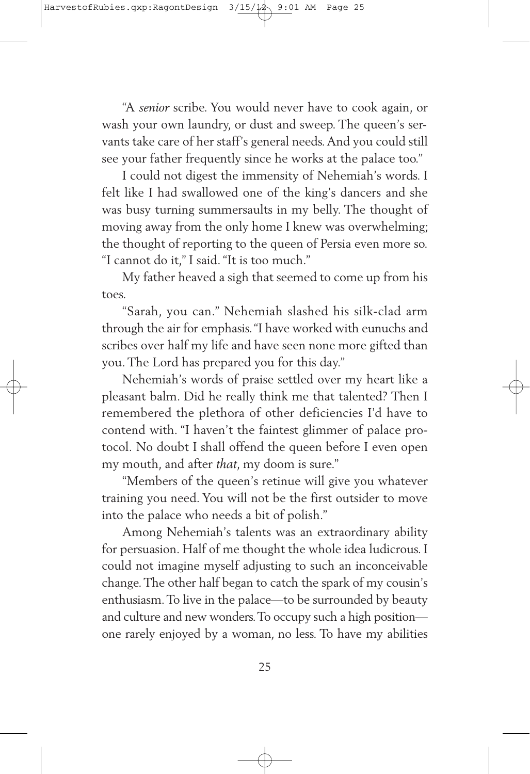"A *senior* scribe. You would never have to cook again, or wash your own laundry, or dust and sweep. The queen's servants take care of her staff's general needs.And you could still see your father frequently since he works at the palace too."

I could not digest the immensity of Nehemiah's words. I felt like I had swallowed one of the king's dancers and she was busy turning summersaults in my belly. The thought of moving away from the only home I knew was overwhelming; the thought of reporting to the queen of Persia even more so. "I cannot do it," I said."It is too much."

My father heaved a sigh that seemed to come up from his toes.

"Sarah, you can." Nehemiah slashed his silk-clad arm through the air for emphasis."I have worked with eunuchs and scribes over half my life and have seen none more gifted than you. The Lord has prepared you for this day."

Nehemiah's words of praise settled over my heart like a pleasant balm. Did he really think me that talented? Then I remembered the plethora of other deficiencies I'd have to contend with. "I haven't the faintest glimmer of palace protocol. No doubt I shall offend the queen before I even open my mouth, and after *that*, my doom is sure."

"Members of the queen's retinue will give you whatever training you need. You will not be the first outsider to move into the palace who needs a bit of polish."

Among Nehemiah's talents was an extraordinary ability for persuasion. Half of me thought the whole idea ludicrous. I could not imagine myself adjusting to such an inconceivable change.The other half began to catch the spark of my cousin's enthusiasm.To live in the palace—to be surrounded by beauty and culture and new wonders.To occupy such a high position one rarely enjoyed by a woman, no less. To have my abilities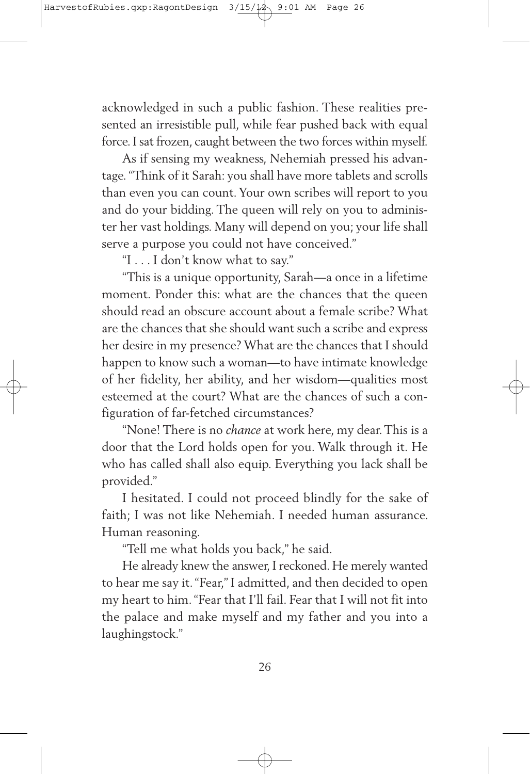acknowledged in such a public fashion. These realities presented an irresistible pull, while fear pushed back with equal force.I sat frozen, caught between the two forces within myself.

As if sensing my weakness, Nehemiah pressed his advantage."Think of it Sarah: you shall have more tablets and scrolls than even you can count.Your own scribes will report to you and do your bidding. The queen will rely on you to administer her vast holdings. Many will depend on you; your life shall serve a purpose you could not have conceived."

"I . . . I don't know what to say."

"This is a unique opportunity, Sarah—a once in a lifetime moment. Ponder this: what are the chances that the queen should read an obscure account about a female scribe? What are the chances that she should want such a scribe and express her desire in my presence? What are the chances that I should happen to know such a woman—to have intimate knowledge of her fidelity, her ability, and her wisdom—qualities most esteemed at the court? What are the chances of such a configuration of far-fetched circumstances?

"None! There is no *chance* at work here, my dear.This is a door that the Lord holds open for you. Walk through it. He who has called shall also equip. Everything you lack shall be provided."

I hesitated. I could not proceed blindly for the sake of faith; I was not like Nehemiah. I needed human assurance. Human reasoning.

"Tell me what holds you back," he said.

He already knew the answer, I reckoned. He merely wanted to hear me say it."Fear," I admitted, and then decided to open my heart to him."Fear that I'll fail. Fear that I will not fit into the palace and make myself and my father and you into a laughingstock."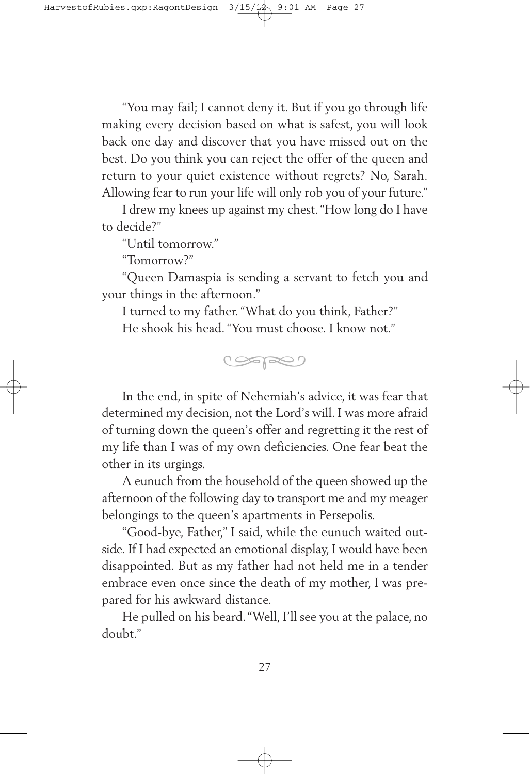"You may fail; I cannot deny it. But if you go through life making every decision based on what is safest, you will look back one day and discover that you have missed out on the best. Do you think you can reject the offer of the queen and return to your quiet existence without regrets? No, Sarah. Allowing fear to run your life will only rob you of your future."

I drew my knees up against my chest."How long do I have to decide?"

"Until tomorrow."

"Tomorrow?"

"Queen Damaspia is sending a servant to fetch you and your things in the afternoon."

I turned to my father."What do you think, Father?" He shook his head."You must choose. I know not."



In the end, in spite of Nehemiah's advice, it was fear that determined my decision, not the Lord's will. I was more afraid of turning down the queen's offer and regretting it the rest of my life than I was of my own deficiencies. One fear beat the other in its urgings.

A eunuch from the household of the queen showed up the afternoon of the following day to transport me and my meager belongings to the queen's apartments in Persepolis.

"Good-bye, Father," I said, while the eunuch waited outside. If I had expected an emotional display, I would have been disappointed. But as my father had not held me in a tender embrace even once since the death of my mother, I was prepared for his awkward distance.

He pulled on his beard."Well, I'll see you at the palace, no doubt."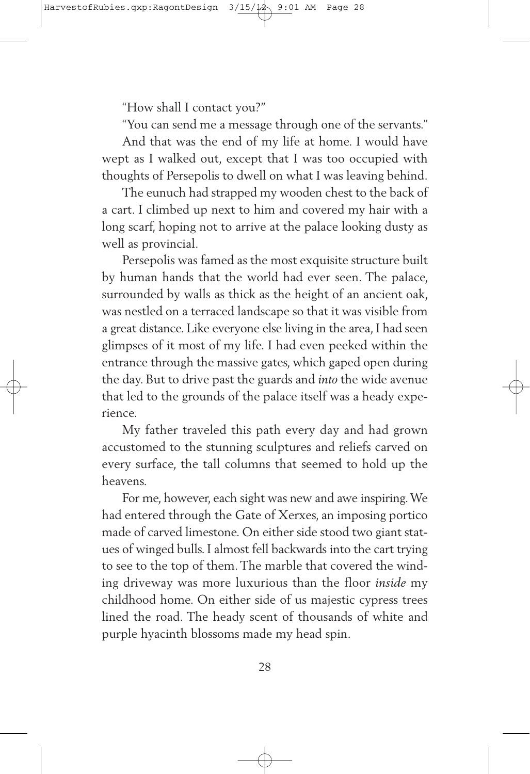"How shall I contact you?"

"You can send me a message through one of the servants."

And that was the end of my life at home. I would have wept as I walked out, except that I was too occupied with thoughts of Persepolis to dwell on what I was leaving behind.

The eunuch had strapped my wooden chest to the back of a cart. I climbed up next to him and covered my hair with a long scarf, hoping not to arrive at the palace looking dusty as well as provincial.

Persepolis was famed as the most exquisite structure built by human hands that the world had ever seen. The palace, surrounded by walls as thick as the height of an ancient oak, was nestled on a terraced landscape so that it was visible from a great distance. Like everyone else living in the area, I had seen glimpses of it most of my life. I had even peeked within the entrance through the massive gates, which gaped open during the day. But to drive past the guards and *into* the wide avenue that led to the grounds of the palace itself was a heady experience.

My father traveled this path every day and had grown accustomed to the stunning sculptures and reliefs carved on every surface, the tall columns that seemed to hold up the heavens.

For me, however, each sight was new and awe inspiring.We had entered through the Gate of Xerxes, an imposing portico made of carved limestone. On either side stood two giant statues of winged bulls. I almost fell backwards into the cart trying to see to the top of them.The marble that covered the winding driveway was more luxurious than the floor *inside* my childhood home. On either side of us majestic cypress trees lined the road. The heady scent of thousands of white and purple hyacinth blossoms made my head spin.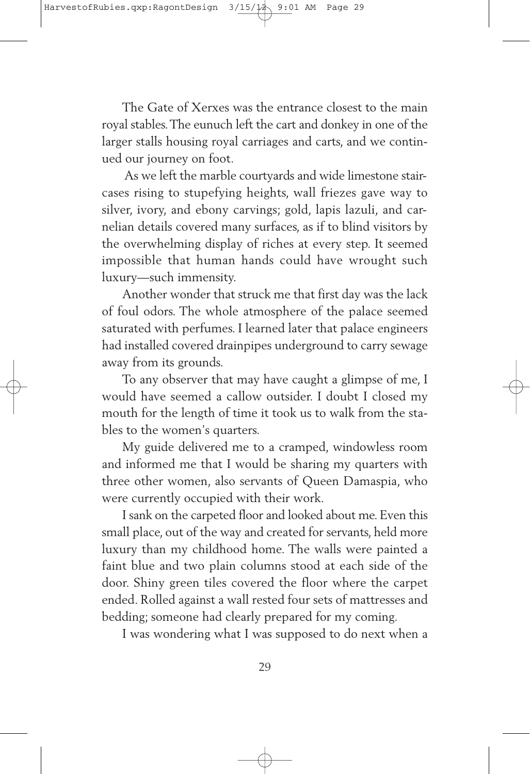The Gate of Xerxes was the entrance closest to the main royal stables.The eunuch left the cart and donkey in one of the larger stalls housing royal carriages and carts, and we continued our journey on foot.

As we left the marble courtyards and wide limestone staircases rising to stupefying heights, wall friezes gave way to silver, ivory, and ebony carvings; gold, lapis lazuli, and carnelian details covered many surfaces, as if to blind visitors by the overwhelming display of riches at every step. It seemed impossible that human hands could have wrought such luxury—such immensity.

Another wonder that struck me that first day was the lack of foul odors. The whole atmosphere of the palace seemed saturated with perfumes. I learned later that palace engineers had installed covered drainpipes underground to carry sewage away from its grounds.

To any observer that may have caught a glimpse of me, I would have seemed a callow outsider. I doubt I closed my mouth for the length of time it took us to walk from the stables to the women's quarters.

My guide delivered me to a cramped, windowless room and informed me that I would be sharing my quarters with three other women, also servants of Queen Damaspia, who were currently occupied with their work.

I sank on the carpeted floor and looked about me. Even this small place, out of the way and created for servants, held more luxury than my childhood home. The walls were painted a faint blue and two plain columns stood at each side of the door. Shiny green tiles covered the floor where the carpet ended. Rolled against a wall rested four sets of mattresses and bedding; someone had clearly prepared for my coming.

I was wondering what I was supposed to do next when a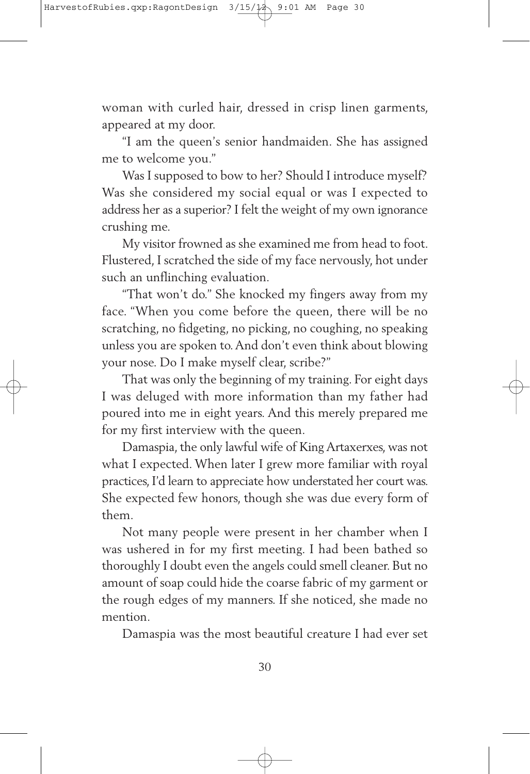woman with curled hair, dressed in crisp linen garments, appeared at my door.

"I am the queen's senior handmaiden. She has assigned me to welcome you."

Was I supposed to bow to her? Should I introduce myself? Was she considered my social equal or was I expected to address her as a superior? I felt the weight of my own ignorance crushing me.

My visitor frowned as she examined me from head to foot. Flustered, I scratched the side of my face nervously, hot under such an unflinching evaluation.

"That won't do." She knocked my fingers away from my face. "When you come before the queen, there will be no scratching, no fidgeting, no picking, no coughing, no speaking unless you are spoken to.And don't even think about blowing your nose. Do I make myself clear, scribe?"

That was only the beginning of my training. For eight days I was deluged with more information than my father had poured into me in eight years. And this merely prepared me for my first interview with the queen.

Damaspia, the only lawful wife of King Artaxerxes, was not what I expected. When later I grew more familiar with royal practices,I'd learn to appreciate how understated her court was. She expected few honors, though she was due every form of them.

Not many people were present in her chamber when I was ushered in for my first meeting. I had been bathed so thoroughly I doubt even the angels could smell cleaner. But no amount of soap could hide the coarse fabric of my garment or the rough edges of my manners. If she noticed, she made no mention.

Damaspia was the most beautiful creature I had ever set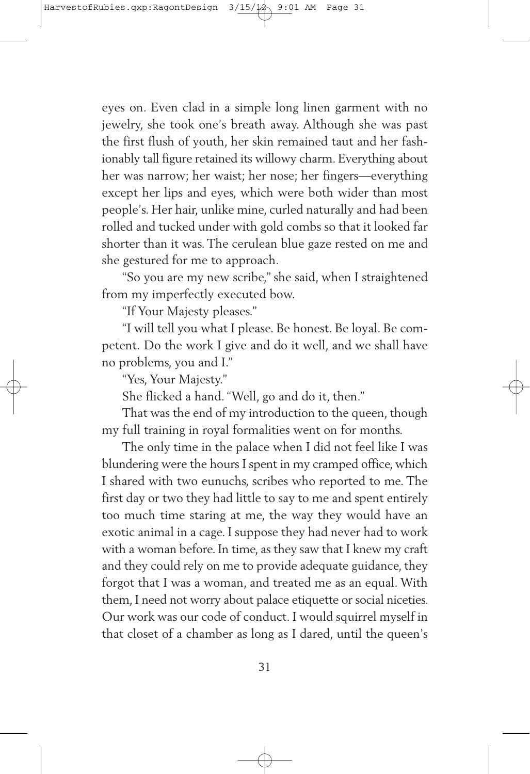eyes on. Even clad in a simple long linen garment with no jewelry, she took one's breath away. Although she was past the first flush of youth, her skin remained taut and her fashionably tall figure retained its willowy charm. Everything about her was narrow; her waist; her nose; her fingers—everything except her lips and eyes, which were both wider than most people's. Her hair, unlike mine, curled naturally and had been rolled and tucked under with gold combs so that it looked far shorter than it was. The cerulean blue gaze rested on me and she gestured for me to approach.

"So you are my new scribe," she said, when I straightened from my imperfectly executed bow.

"If Your Majesty pleases."

"I will tell you what I please. Be honest. Be loyal. Be competent. Do the work I give and do it well, and we shall have no problems, you and I."

"Yes, Your Majesty."

She flicked a hand."Well, go and do it, then."

That was the end of my introduction to the queen, though my full training in royal formalities went on for months.

The only time in the palace when I did not feel like I was blundering were the hours I spent in my cramped office, which I shared with two eunuchs, scribes who reported to me. The first day or two they had little to say to me and spent entirely too much time staring at me, the way they would have an exotic animal in a cage. I suppose they had never had to work with a woman before. In time, as they saw that I knew my craft and they could rely on me to provide adequate guidance, they forgot that I was a woman, and treated me as an equal. With them, I need not worry about palace etiquette or social niceties. Our work was our code of conduct. I would squirrel myself in that closet of a chamber as long as I dared, until the queen's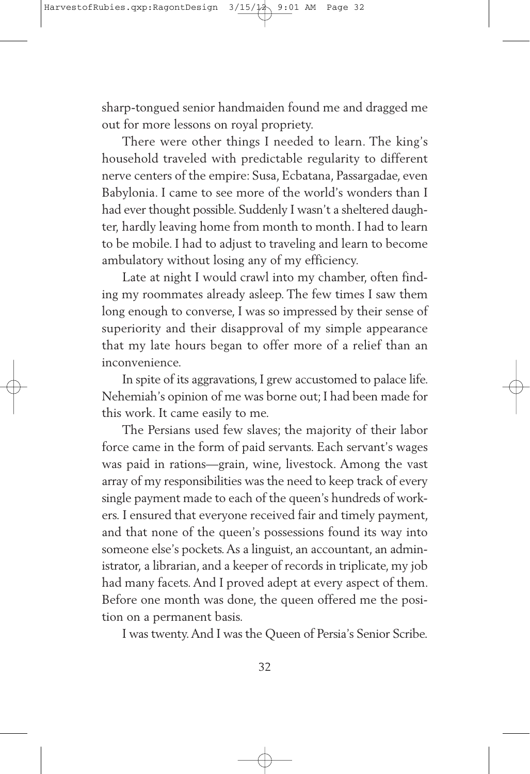sharp-tongued senior handmaiden found me and dragged me out for more lessons on royal propriety.

There were other things I needed to learn. The king's household traveled with predictable regularity to different nerve centers of the empire: Susa, Ecbatana, Passargadae, even Babylonia. I came to see more of the world's wonders than I had ever thought possible. Suddenly I wasn't a sheltered daughter, hardly leaving home from month to month. I had to learn to be mobile. I had to adjust to traveling and learn to become ambulatory without losing any of my efficiency.

Late at night I would crawl into my chamber, often finding my roommates already asleep. The few times I saw them long enough to converse, I was so impressed by their sense of superiority and their disapproval of my simple appearance that my late hours began to offer more of a relief than an inconvenience.

In spite of its aggravations, I grew accustomed to palace life. Nehemiah's opinion of me was borne out; I had been made for this work. It came easily to me.

The Persians used few slaves; the majority of their labor force came in the form of paid servants. Each servant's wages was paid in rations—grain, wine, livestock. Among the vast array of my responsibilities was the need to keep track of every single payment made to each of the queen's hundreds of workers. I ensured that everyone received fair and timely payment, and that none of the queen's possessions found its way into someone else's pockets.As a linguist, an accountant, an administrator, a librarian, and a keeper of records in triplicate, my job had many facets. And I proved adept at every aspect of them. Before one month was done, the queen offered me the position on a permanent basis.

I was twenty.And I was the Queen of Persia's Senior Scribe.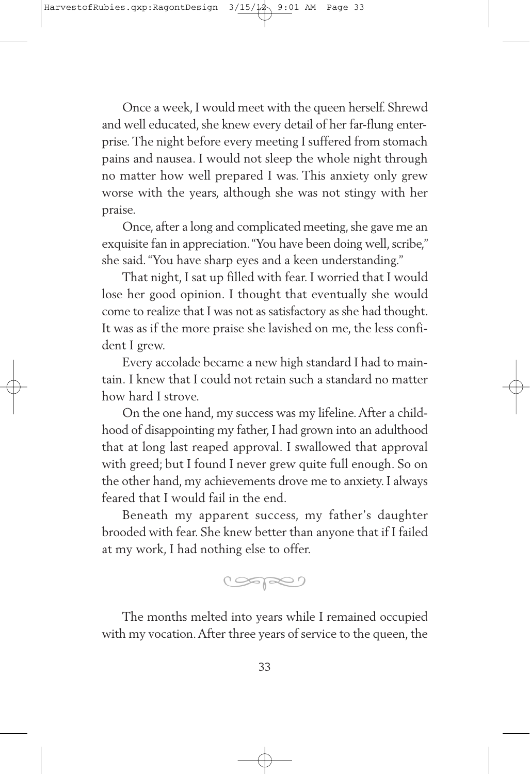Once a week, I would meet with the queen herself. Shrewd and well educated, she knew every detail of her far-flung enterprise. The night before every meeting I suffered from stomach pains and nausea. I would not sleep the whole night through no matter how well prepared I was. This anxiety only grew worse with the years, although she was not stingy with her praise.

Once, after a long and complicated meeting, she gave me an exquisite fan in appreciation. "You have been doing well, scribe," she said."You have sharp eyes and a keen understanding."

That night, I sat up filled with fear. I worried that I would lose her good opinion. I thought that eventually she would come to realize that I was not as satisfactory as she had thought. It was as if the more praise she lavished on me, the less confident I grew.

Every accolade became a new high standard I had to maintain. I knew that I could not retain such a standard no matter how hard I strove.

On the one hand, my success was my lifeline.After a childhood of disappointing my father, I had grown into an adulthood that at long last reaped approval. I swallowed that approval with greed; but I found I never grew quite full enough. So on the other hand, my achievements drove me to anxiety. I always feared that I would fail in the end.

Beneath my apparent success, my father's daughter brooded with fear. She knew better than anyone that if I failed at my work, I had nothing else to offer.

تعامى

The months melted into years while I remained occupied with my vocation. After three years of service to the queen, the